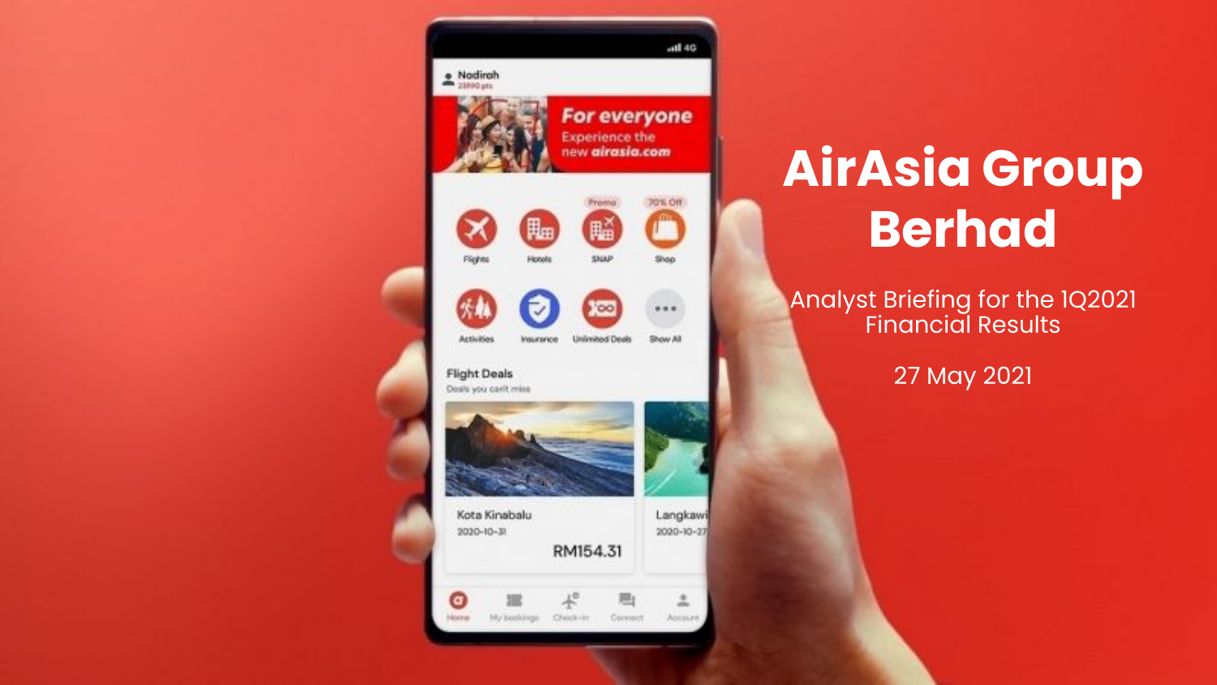

# **AirAsia Group Berhad**

### Analyst Briefing for the 1Q2021 Financial Results

27 May 2021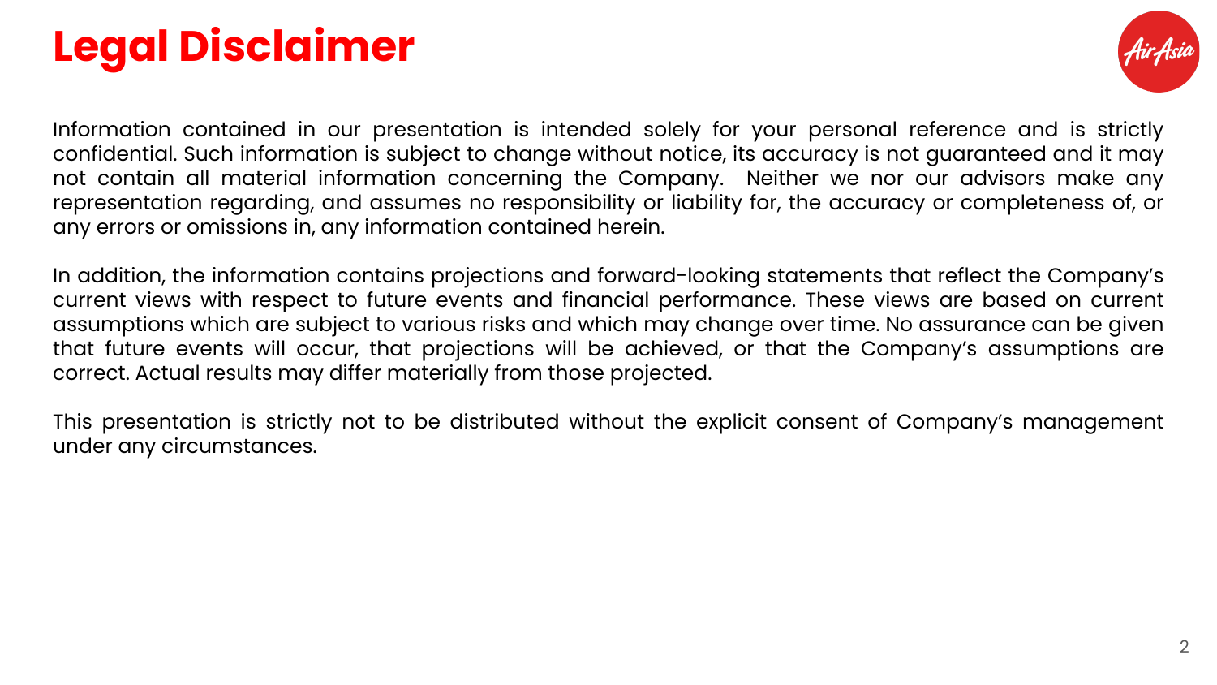# **Legal Disclaimer**



Information contained in our presentation is intended solely for your personal reference and is strictly confidential. Such information is subject to change without notice, its accuracy is not guaranteed and it may not contain all material information concerning the Company. Neither we nor our advisors make any representation regarding, and assumes no responsibility or liability for, the accuracy or completeness of, or any errors or omissions in, any information contained herein.

In addition, the information contains projections and forward-looking statements that reflect the Company's current views with respect to future events and financial performance. These views are based on current assumptions which are subject to various risks and which may change over time. No assurance can be given that future events will occur, that projections will be achieved, or that the Company's assumptions are correct. Actual results may differ materially from those projected.

This presentation is strictly not to be distributed without the explicit consent of Company's management under any circumstances.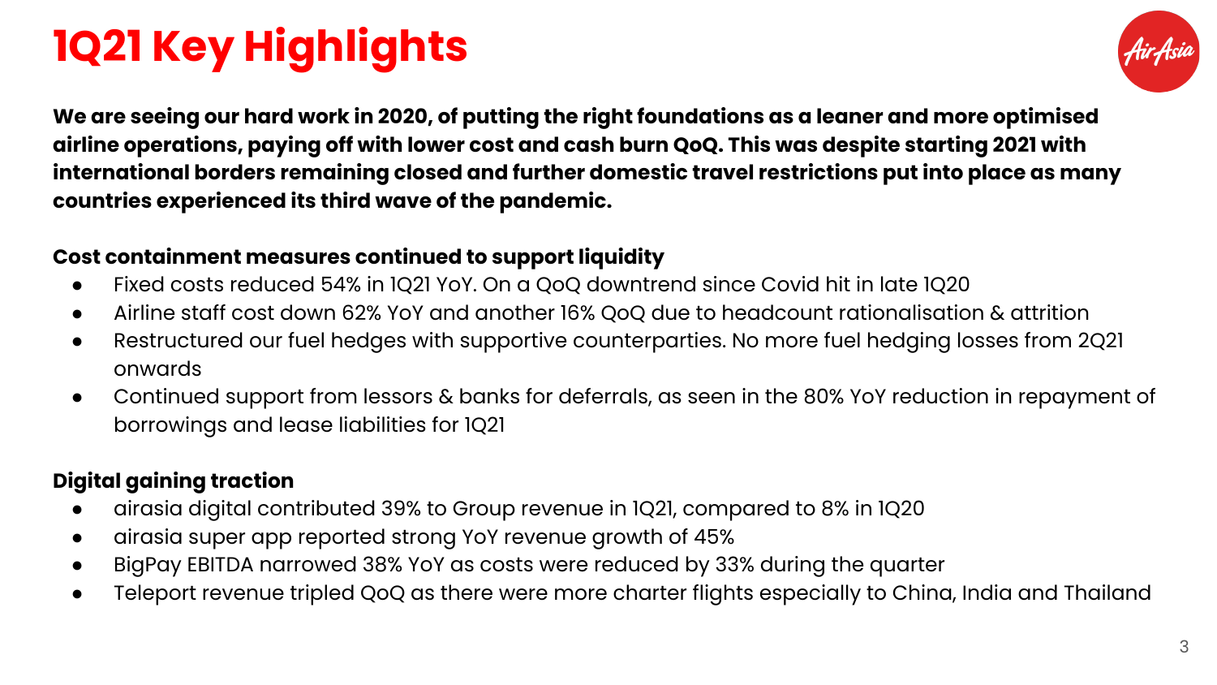# **1Q21 Key Highlights**



**We are seeing our hard work in 2020, of putting the right foundations as a leaner and more optimised airline operations, paying off with lower cost and cash burn QoQ. This was despite starting 2021 with international borders remaining closed and further domestic travel restrictions put into place as many countries experienced its third wave of the pandemic.**

### **Cost containment measures continued to support liquidity**

- **●** Fixed costs reduced 54% in 1Q21 YoY. On a QoQ downtrend since Covid hit in late 1Q20
- Airline staff cost down 62% YoY and another 16% QoQ due to headcount rationalisation & attrition
- Restructured our fuel hedges with supportive counterparties. No more fuel hedging losses from 2Q21 onwards
- **●** Continued support from lessors & banks for deferrals, as seen in the 80% YoY reduction in repayment of borrowings and lease liabilities for 1Q21

### **Digital gaining traction**

- airasia digital contributed 39% to Group revenue in 1Q21, compared to 8% in 1Q20
- airasia super app reported strong YoY revenue growth of 45%
- BigPay EBITDA narrowed 38% YoY as costs were reduced by 33% during the quarter
- Teleport revenue tripled QoQ as there were more charter flights especially to China, India and Thailand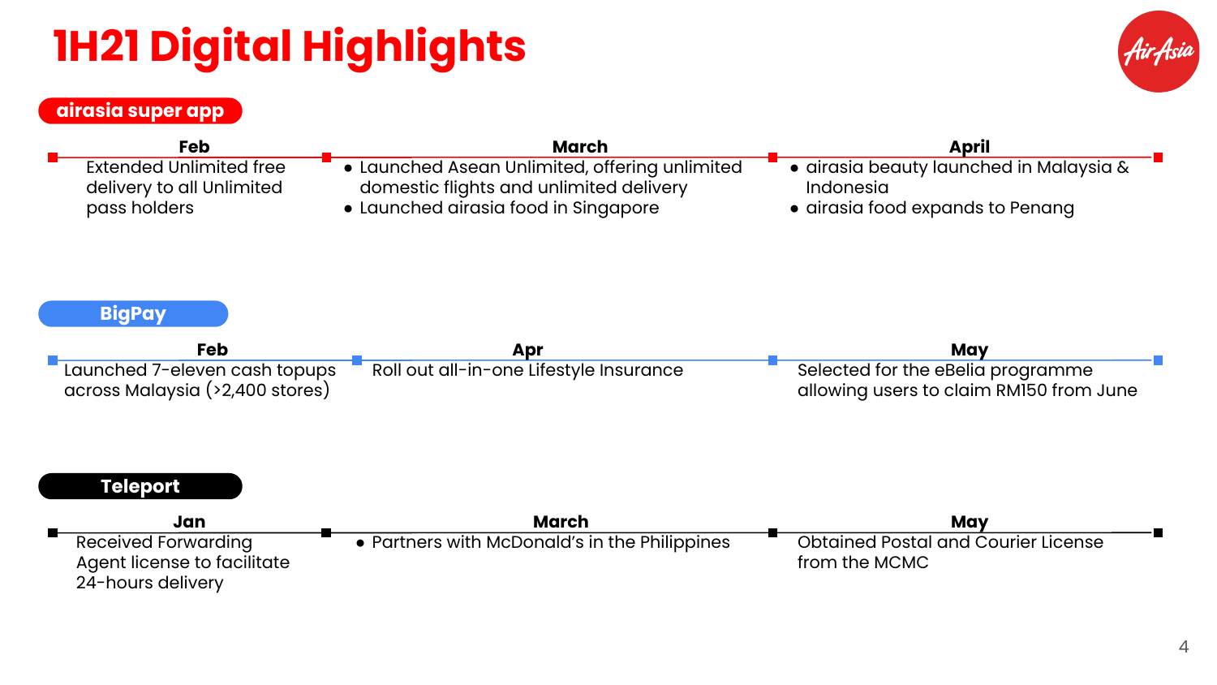# **1H21 Digital Highlights**



### **airasia super app**

| Feb                                                                            | <b>March</b>                                                                              | <b>April</b>                                                                             |  |  |  |
|--------------------------------------------------------------------------------|-------------------------------------------------------------------------------------------|------------------------------------------------------------------------------------------|--|--|--|
| <b>Extended Unlimited free</b><br>delivery to all Unlimited                    | • Launched Asean Unlimited, offering unlimited<br>domestic flights and unlimited delivery | · airasia beauty launched in Malaysia &<br>Indonesia<br>• airasia food expands to Penang |  |  |  |
| pass holders                                                                   | • Launched airasia food in Singapore                                                      |                                                                                          |  |  |  |
| <b>BigPay</b>                                                                  |                                                                                           |                                                                                          |  |  |  |
| <b>Feb</b>                                                                     | Apr                                                                                       | May                                                                                      |  |  |  |
| Launched 7-eleven cash topups<br>across Malaysia (>2,400 stores)               | Roll out all-in-one Lifestyle Insurance                                                   | Selected for the eBelia programme<br>allowing users to claim RM150 from June             |  |  |  |
| <b>Teleport</b>                                                                |                                                                                           |                                                                                          |  |  |  |
| Jan                                                                            | March                                                                                     | May                                                                                      |  |  |  |
| <b>Received Forwarding</b><br>Agent license to facilitate<br>24-hours delivery | • Partners with McDonald's in the Philippines                                             | <b>Obtained Postal and Courier License</b><br>from the MCMC                              |  |  |  |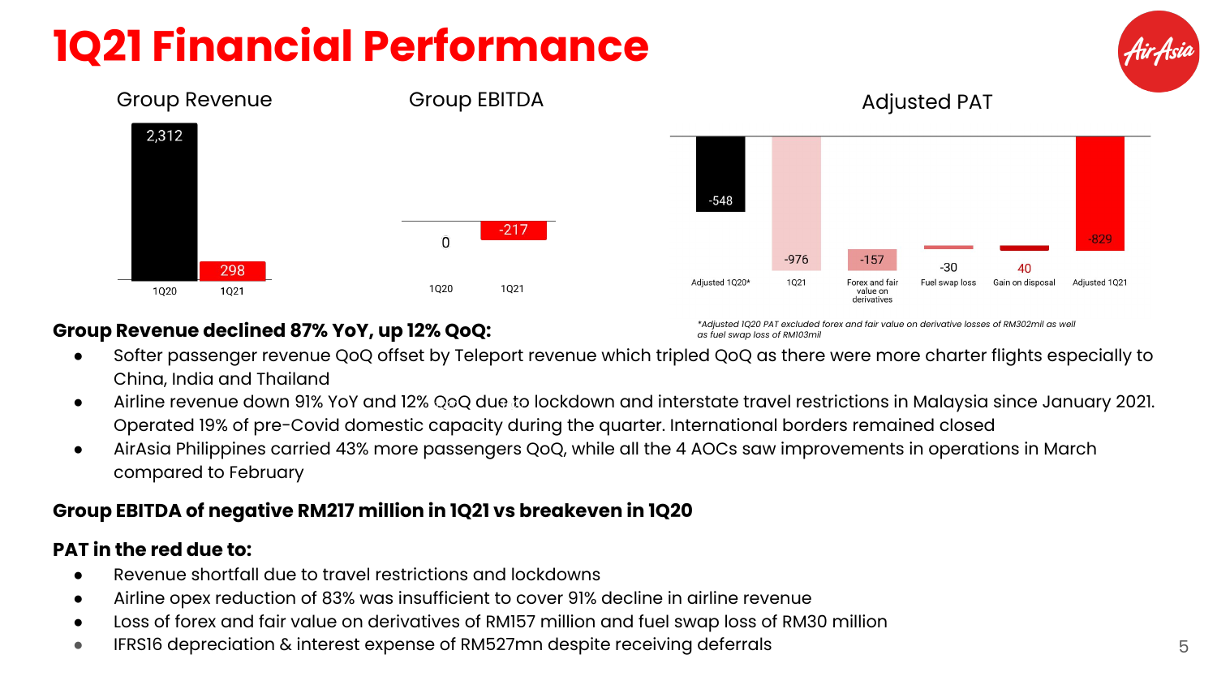# **1Q21 Financial Performance**





#### **Group Revenue declined 87% YoY, up 12% QoQ:**

*\*Adjusted 1Q20 PAT excluded forex and fair value on derivative losses of RM302mil as well as fuel swap loss of RM103mil*

- Softer passenger revenue QoQ offset by Teleport revenue which tripled QoQ as there were more charter flights especially to China, India and Thailand
- Airline revenue down 91% YoY and 12% QoQ due to lockdown and interstate travel restrictions in Malaysia since January 2021. Operated 19% of pre-Covid domestic capacity during the quarter. International borders remained closed
- AirAsia Philippines carried 43% more passengers QoQ, while all the 4 AOCs saw improvements in operations in March compared to February

#### **Group EBITDA of negative RM217 million in 1Q21 vs breakeven in 1Q20**

#### **PAT in the red due to:**

- Revenue shortfall due to travel restrictions and lockdowns
- Airline opex reduction of 83% was insufficient to cover 91% decline in airline revenue
- Loss of forex and fair value on derivatives of RM157 million and fuel swap loss of RM30 million
- IFRS16 depreciation & interest expense of RM527mn despite receiving deferrals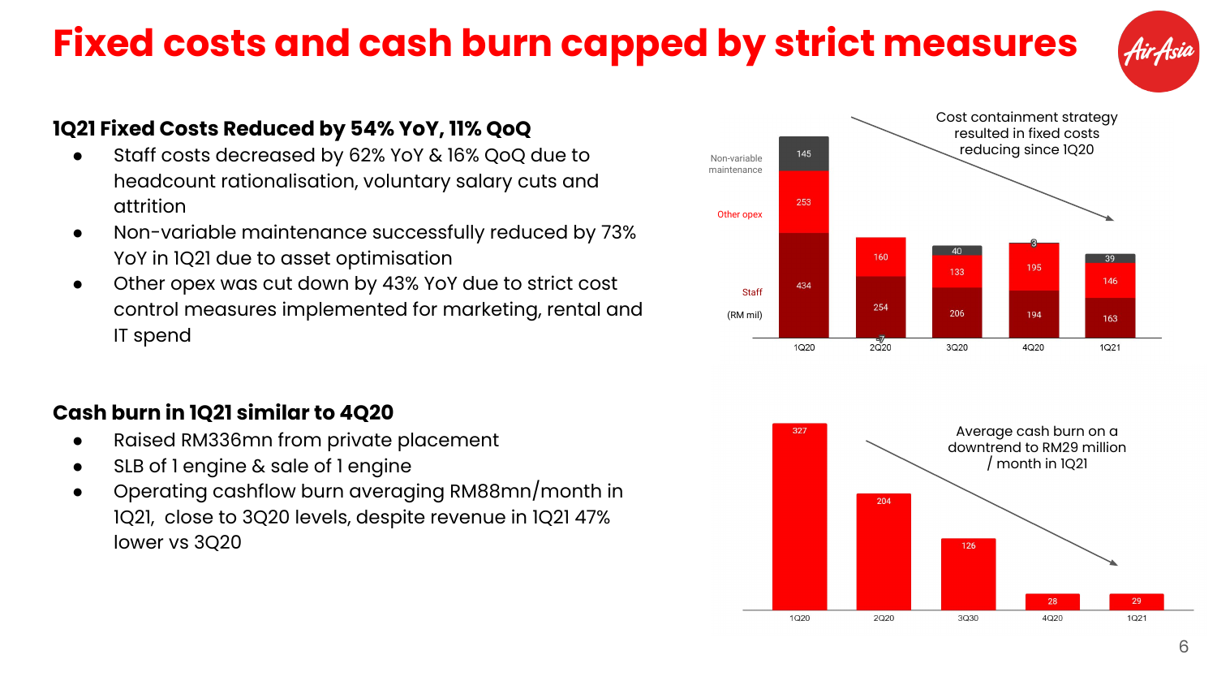### **Fixed costs and cash burn capped by strict measures**



### **1Q21 Fixed Costs Reduced by 54% YoY, 11% QoQ**

- Staff costs decreased by 62% YoY & 16% QoQ due to headcount rationalisation, voluntary salary cuts and attrition
- Non-variable maintenance successfully reduced by 73% YoY in 1Q21 due to asset optimisation
- Other opex was cut down by 43% YoY due to strict cost control measures implemented for marketing, rental and IT spend

### **Cash burn in 1Q21 similar to 4Q20**

- Raised RM336mn from private placement
- SLB of 1 engine & sale of 1 engine
- Operating cashflow burn averaging RM88mn/month in 1Q21, close to 3Q20 levels, despite revenue in 1Q21 47% lower vs 3Q20



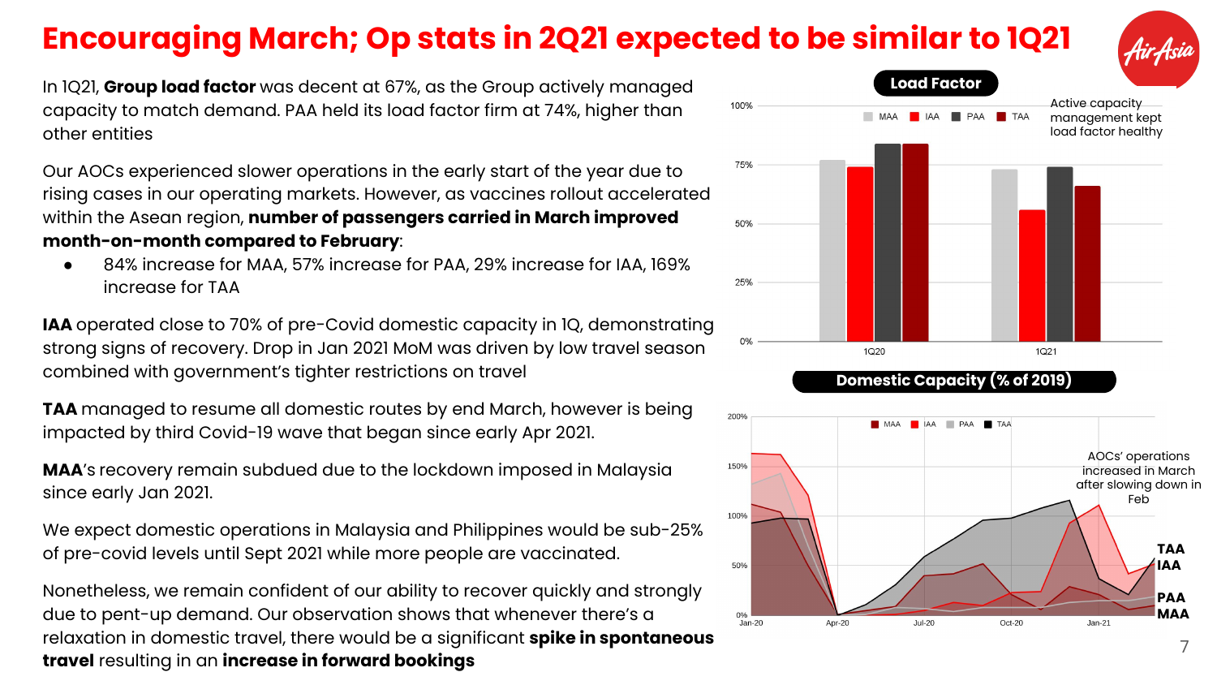### **Encouraging March; Op stats in 2Q21 expected to be similar to 1Q21**



In 1Q21, **Group load factor** was decent at 67%, as the Group actively managed capacity to match demand. PAA held its load factor firm at 74%, higher than other entities

Our AOCs experienced slower operations in the early start of the year due to rising cases in our operating markets. However, as vaccines rollout accelerated within the Asean region, **number of passengers carried in March improved month-on-month compared to February**:

84% increase for MAA, 57% increase for PAA, 29% increase for IAA, 169% increase for TAA

**IAA** operated close to 70% of pre-Covid domestic capacity in 1Q, demonstrating strong signs of recovery. Drop in Jan 2021 MoM was driven by low travel season combined with government's tighter restrictions on travel

**TAA** managed to resume all domestic routes by end March, however is being impacted by third Covid-19 wave that began since early Apr 2021.

**MAA**'s recovery remain subdued due to the lockdown imposed in Malaysia since early Jan 2021.

We expect domestic operations in Malaysia and Philippines would be sub-25% of pre-covid levels until Sept 2021 while more people are vaccinated.

Nonetheless, we remain confident of our ability to recover quickly and strongly due to pent-up demand. Our observation shows that whenever there's a relaxation in domestic travel, there would be a significant **spike in spontaneous travel** resulting in an **increase in forward bookings**



#### **Domestic Capacity (% of 2019)**

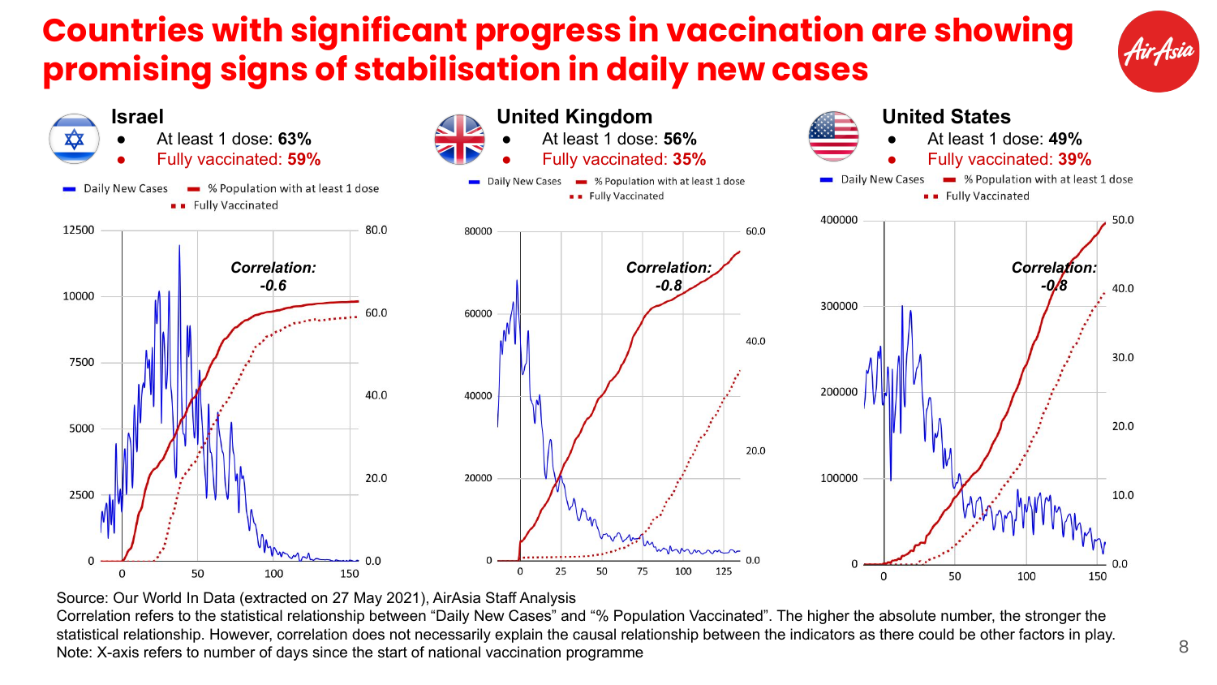### **Countries with significant progress in vaccination are showing promising signs of stabilisation in daily new cases**



Source: Our World In Data (extracted on 27 May 2021), AirAsia Staff Analysis

Correlation refers to the statistical relationship between "Daily New Cases" and "% Population Vaccinated". The higher the absolute number, the stronger the statistical relationship. However, correlation does not necessarily explain the causal relationship between the indicators as there could be other factors in play. Note: X-axis refers to number of days since the start of national vaccination programme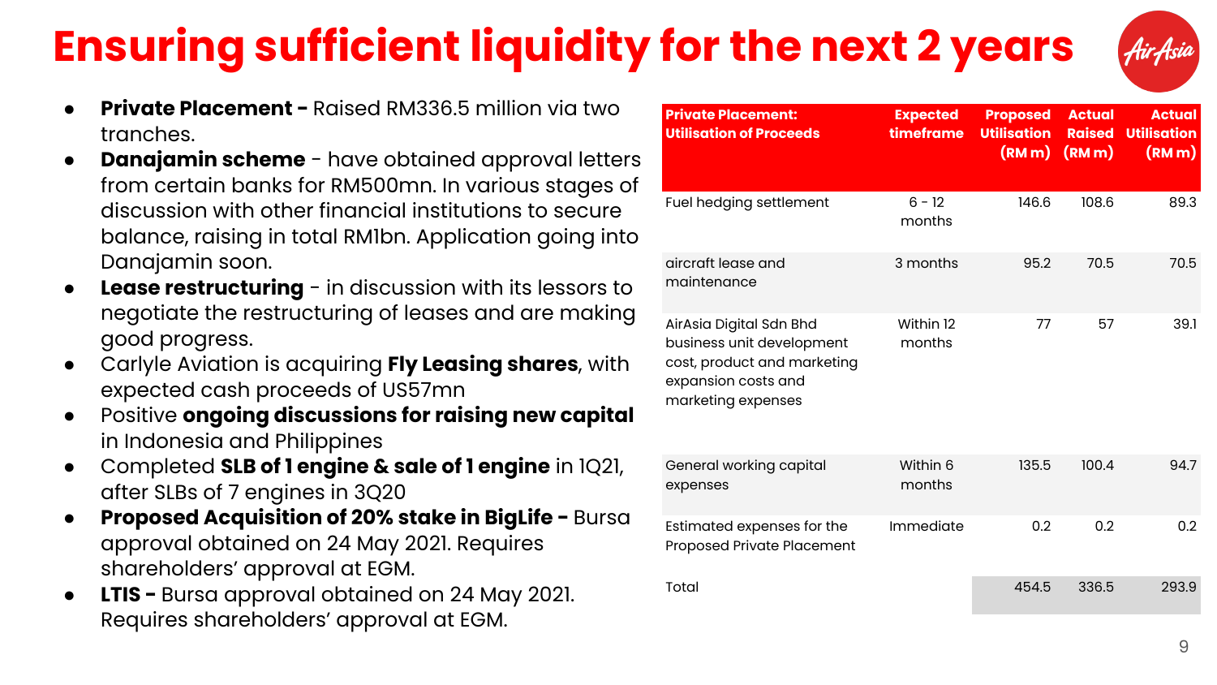# **Ensuring sufficient liquidity for the next 2 years**



- **Private Placement Raised RM336.5 million via two** tranches.
- **Danajamin scheme** have obtained approval letters from certain banks for RM500mn. In various stages of discussion with other financial institutions to secure balance, raising in total RM1bn. Application going into Danajamin soon.
- **Lease restructuring** in discussion with its lessors to negotiate the restructuring of leases and are making good progress.
- Carlyle Aviation is acquiring **Fly Leasing shares**, with expected cash proceeds of US57mn
- Positive **ongoing discussions for raising new capital** in Indonesia and Philippines
- Completed **SLB of 1 engine & sale of 1 engine** in 1Q21, after SLBs of 7 engines in 3Q20
- **Proposed Acquisition of 20% stake in BigLife Bursa** approval obtained on 24 May 2021. Requires shareholders' approval at EGM.
- **LTIS Bursa approval obtained on 24 May 2021.** Requires shareholders' approval at EGM.

| <b>Private Placement:</b><br><b>Utilisation of Proceeds</b>                                                                      | <b>Expected</b><br>timeframe | <b>Proposed</b><br><b>Utilisation</b><br>(RMm) | <b>Actual</b><br><b>Raised</b><br>(Mm) | <b>Actual</b><br><b>Utilisation</b><br>(Mm) |
|----------------------------------------------------------------------------------------------------------------------------------|------------------------------|------------------------------------------------|----------------------------------------|---------------------------------------------|
| Fuel hedging settlement                                                                                                          | $6 - 12$<br>months           | 146.6                                          | 108.6                                  | 89.3                                        |
| aircraft lease and<br>maintenance                                                                                                | 3 months                     | 95.2                                           | 70.5                                   | 70.5                                        |
| AirAsia Digital Sdn Bhd<br>business unit development<br>cost, product and marketing<br>expansion costs and<br>marketing expenses | Within 12<br>months          | 77                                             | 57                                     | 39.1                                        |
| General working capital<br>expenses                                                                                              | Within 6<br>months           | 135.5                                          | 100.4                                  | 94.7                                        |
| Estimated expenses for the<br>Proposed Private Placement                                                                         | Immediate                    | 0.2                                            | 0.2                                    | 0.2                                         |
| Total                                                                                                                            |                              | 454.5                                          | 336.5                                  | 293.9                                       |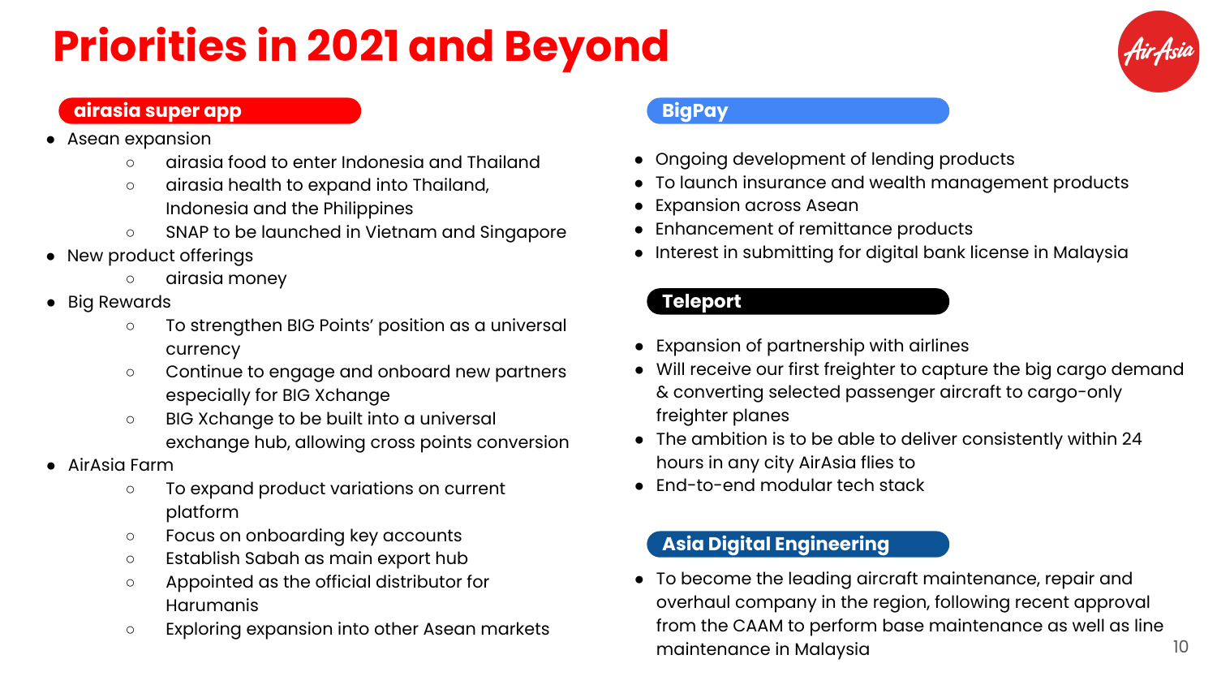# **Priorities in 2021 and Beyond**



#### **airasia super app**

- Asean expansion
	- airasia food to enter Indonesia and Thailand
	- airasia health to expand into Thailand, Indonesia and the Philippines
	- SNAP to be launched in Vietnam and Singapore
- New product offerings
	- airasia money
- Big Rewards
	- To strengthen BIG Points' position as a universal currency
	- Continue to engage and onboard new partners especially for BIG Xchange
	- BIG Xchange to be built into a universal exchange hub, allowing cross points conversion
- AirAsia Farm
	- To expand product variations on current platform
	- Focus on onboarding key accounts
	- Establish Sabah as main export hub
	- Appointed as the official distributor for Harumanis
	- Exploring expansion into other Asean markets

#### **BigPay**

- Ongoing development of lending products
- To launch insurance and wealth management products
- Expansion across Asean
- Enhancement of remittance products
- Interest in submitting for digital bank license in Malaysia

### **Teleport**

- Expansion of partnership with airlines
- Will receive our first freighter to capture the big cargo demand & converting selected passenger aircraft to cargo-only freighter planes
- The ambition is to be able to deliver consistently within 24 hours in any city AirAsia flies to
- End-to-end modular tech stack

#### **Asia Digital Engineering**

● To become the leading aircraft maintenance, repair and overhaul company in the region, following recent approval from the CAAM to perform base maintenance as well as line maintenance in Malaysia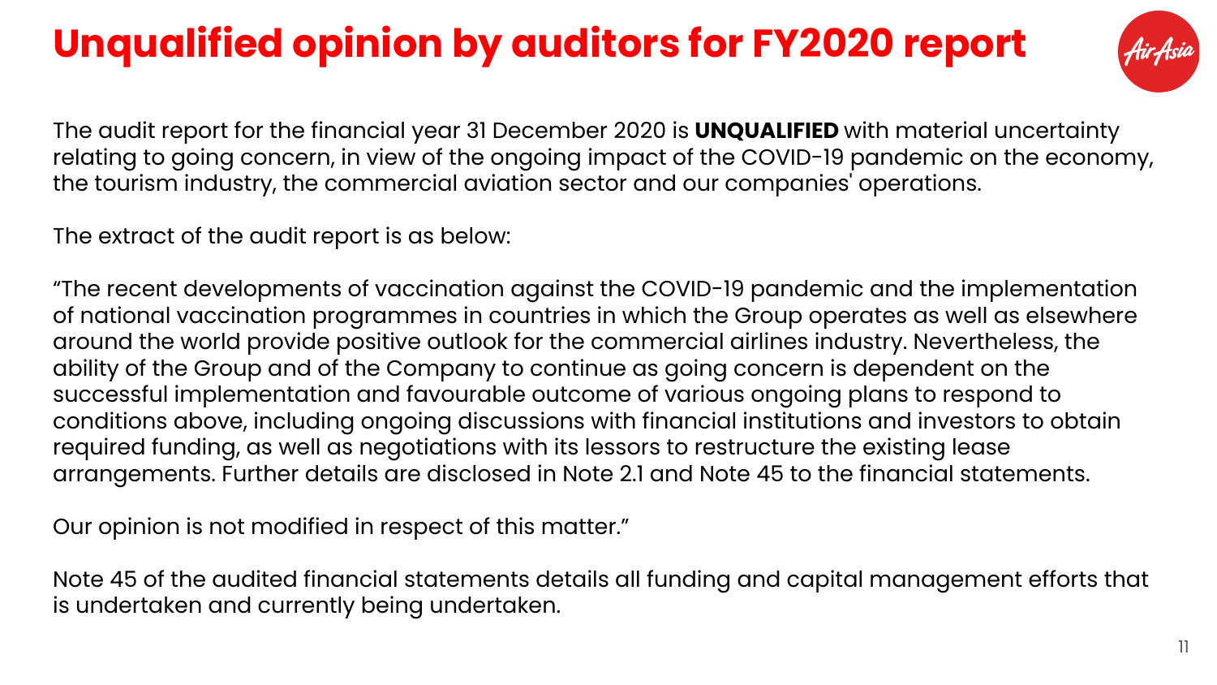## **Unqualified opinion by auditors for FY2020 report**



The audit report for the financial year 31 December 2020 is **UNQUALIFIED** with material uncertainty relating to going concern, in view of the ongoing impact of the COVID-19 pandemic on the economy, the tourism industry, the commercial aviation sector and our companies' operations.

The extract of the audit report is as below:

"The recent developments of vaccination against the COVID-19 pandemic and the implementation of national vaccination programmes in countries in which the Group operates as well as elsewhere around the world provide positive outlook for the commercial airlines industry. Nevertheless, the ability of the Group and of the Company to continue as going concern is dependent on the successful implementation and favourable outcome of various ongoing plans to respond to conditions above, including ongoing discussions with financial institutions and investors to obtain required funding, as well as negotiations with its lessors to restructure the existing lease arrangements. Further details are disclosed in Note 2.1 and Note 45 to the financial statements.

Our opinion is not modified in respect of this matter."

Note 45 of the audited financial statements details all funding and capital management efforts that is undertaken and currently being undertaken.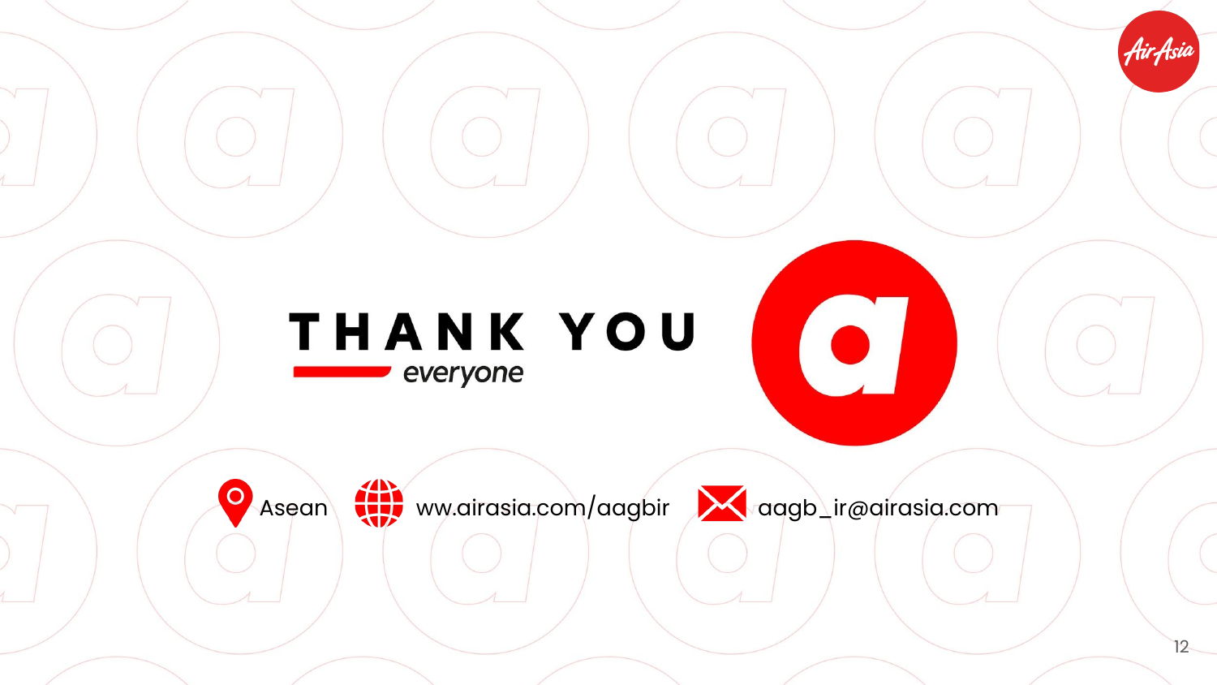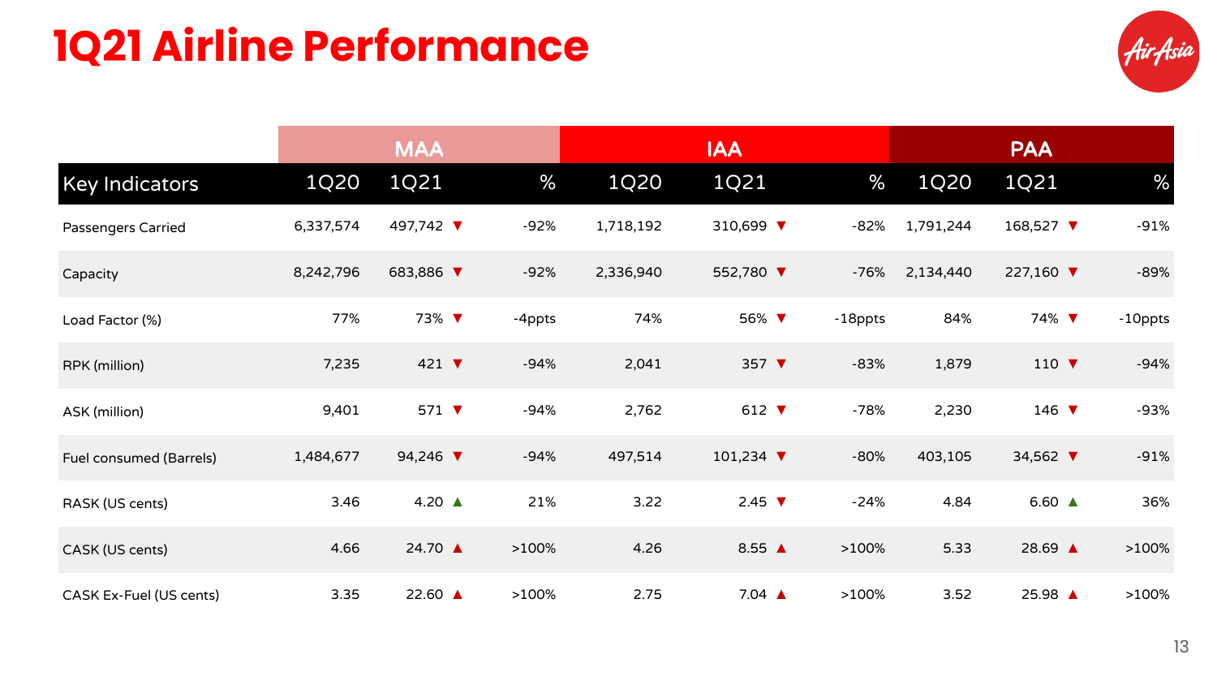## **1Q21 Airline Performance**



|                         |           | <b>MAA</b>                  |        |           | <b>IAA</b>                   |         |           | <b>PAA</b>               |         |
|-------------------------|-----------|-----------------------------|--------|-----------|------------------------------|---------|-----------|--------------------------|---------|
| <b>Key Indicators</b>   | 1Q20      | 1Q21                        | $\%$   | 1Q20      | 1Q21                         | %       | 1Q20      | 1Q21                     | %       |
| Passengers Carried      | 6,337,574 | 497,742 ▼                   | -92%   | 1,718,192 | 310,699 ▼                    | -82%    | 1,791,244 | 168,527 ▼                | $-91%$  |
| Capacity                | 8,242,796 | 683,886 ▼                   | $-92%$ | 2,336,940 | 552,780 ▼                    | $-76%$  | 2,134,440 | 227,160 ▼                | $-89%$  |
| Load Factor (%)         | 77%       | 73% ▼                       | -4ppts | 74%       | 56% ▼                        | -18ppts | 84%       | 74% $\blacktriangledown$ | -10ppts |
| RPK (million)           | 7,235     | 421 $\blacktriangledown$    | $-94%$ | 2,041     | 357 $\blacktriangledown$     | $-83%$  | 1,879     | 110 $\blacktriangledown$ | $-94%$  |
| ASK (million)           | 9,401     | 571 $\blacktriangledown$    | $-94%$ | 2,762     | 612 $\blacktriangledown$     | $-78%$  | 2,230     | 146 $\blacktriangledown$ | -93%    |
| Fuel consumed (Barrels) | 1,484,677 | 94,246 $\blacktriangledown$ | $-94%$ | 497,514   | 101,234 $\blacktriangledown$ | $-80%$  | 403,105   | 34,562 ▼                 | $-91%$  |
| RASK (US cents)         | 3.46      | 4.20 $\triangle$            | 21%    | 3.22      | 2.45 $\blacktriangledown$    | $-24%$  | 4.84      | 6.60 $\triangle$         | 36%     |
| CASK (US cents)         | 4.66      | 24.70 ▲                     | >100%  | 4.26      | 8.55 $\triangle$             | >100%   | 5.33      | 28.69 ▲                  | >100%   |
| CASK Ex-Fuel (US cents) | 3.35      | 22.60 ▲                     | >100%  | 2.75      | $7.04 \triangle$             | >100%   | 3.52      | 25.98 ▲                  | >100%   |